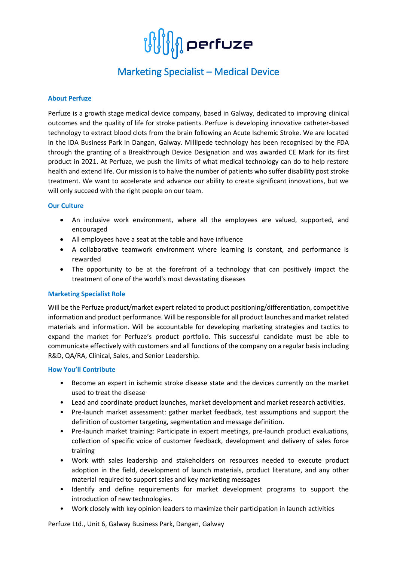

# Marketing Specialist – Medical Device

### **About Perfuze**

Perfuze is a growth stage medical device company, based in Galway, dedicated to improving clinical outcomes and the quality of life for stroke patients. Perfuze is developing innovative catheter-based technology to extract blood clots from the brain following an Acute Ischemic Stroke. We are located in the IDA Business Park in Dangan, Galway. Millipede technology has been recognised by the FDA through the granting of a Breakthrough Device Designation and was awarded CE Mark for its first product in 2021. At Perfuze, we push the limits of what medical technology can do to help restore health and extend life. Our mission is to halve the number of patients who suffer disability post stroke treatment. We want to accelerate and advance our ability to create significant innovations, but we will only succeed with the right people on our team.

#### **Our Culture**

- An inclusive work environment, where all the employees are valued, supported, and encouraged
- All employees have a seat at the table and have influence
- A collaborative teamwork environment where learning is constant, and performance is rewarded
- The opportunity to be at the forefront of a technology that can positively impact the treatment of one of the world's most devastating diseases

### **Marketing Specialist Role**

Will be the Perfuze product/market expert related to product positioning/differentiation, competitive information and product performance. Will be responsible for all product launches and market related materials and information. Will be accountable for developing marketing strategies and tactics to expand the market for Perfuze's product portfolio. This successful candidate must be able to communicate effectively with customers and all functions of the company on a regular basis including R&D, QA/RA, Clinical, Sales, and Senior Leadership.

#### **How You'll Contribute**

- Become an expert in ischemic stroke disease state and the devices currently on the market used to treat the disease
- Lead and coordinate product launches, market development and market research activities.
- Pre-launch market assessment: gather market feedback, test assumptions and support the definition of customer targeting, segmentation and message definition.
- Pre-launch market training: Participate in expert meetings, pre-launch product evaluations, collection of specific voice of customer feedback, development and delivery of sales force training
- Work with sales leadership and stakeholders on resources needed to execute product adoption in the field, development of launch materials, product literature, and any other material required to support sales and key marketing messages
- Identify and define requirements for market development programs to support the introduction of new technologies.
- Work closely with key opinion leaders to maximize their participation in launch activities

Perfuze Ltd., Unit 6, Galway Business Park, Dangan, Galway